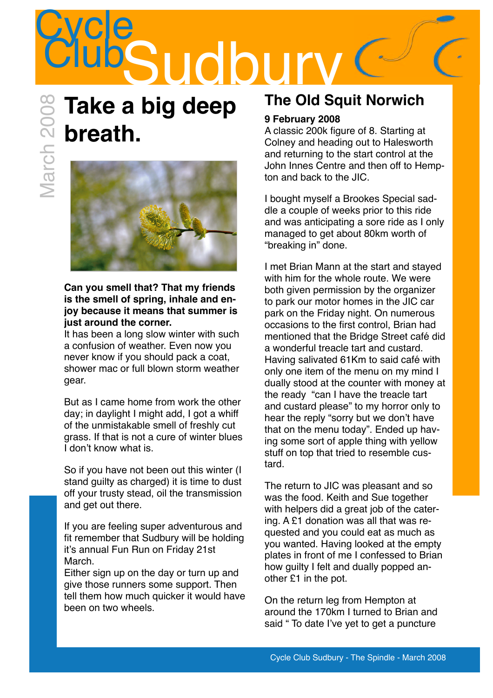### **Cycle** Sudbu

### **Take a big deep breath.**



#### **Can you smell that? That my friends is the smell of spring, inhale and enjoy because it means that summer is just around the corner.**

It has been a long slow winter with such a confusion of weather. Even now you never know if you should pack a coat, shower mac or full blown storm weather gear.

But as I came home from work the other day; in daylight I might add, I got a whiff of the unmistakable smell of freshly cut grass. If that is not a cure of winter blues I don't know what is.

So if you have not been out this winter (I stand guilty as charged) it is time to dust off your trusty stead, oil the transmission and get out there.

If you are feeling super adventurous and fit remember that Sudbury will be holding it's annual Fun Run on Friday 21st March.

Either sign up on the day or turn up and give those runners some support. Then tell them how much quicker it would have been on two wheels.

### **The Old Squit Norwich**

### **9 February 2008**

A classic 200k figure of 8. Starting at Colney and heading out to Halesworth and returning to the start control at the John Innes Centre and then off to Hempton and back to the JIC.

I bought myself a Brookes Special saddle a couple of weeks prior to this ride and was anticipating a sore ride as I only managed to get about 80km worth of "breaking in" done.

I met Brian Mann at the start and stayed with him for the whole route. We were both given permission by the organizer to park our motor homes in the JIC car park on the Friday night. On numerous occasions to the first control, Brian had mentioned that the Bridge Street café did a wonderful treacle tart and custard. Having salivated 61Km to said café with only one item of the menu on my mind I dually stood at the counter with money at the ready "can I have the treacle tart and custard please" to my horror only to hear the reply "sorry but we don't have that on the menu today". Ended up having some sort of apple thing with yellow stuff on top that tried to resemble custard.

The return to JIC was pleasant and so was the food. Keith and Sue together with helpers did a great job of the catering. A £1 donation was all that was requested and you could eat as much as you wanted. Having looked at the empty plates in front of me I confessed to Brian how guilty I felt and dually popped another £1 in the pot.

On the return leg from Hempton at around the 170km I turned to Brian and said " To date I've yet to get a puncture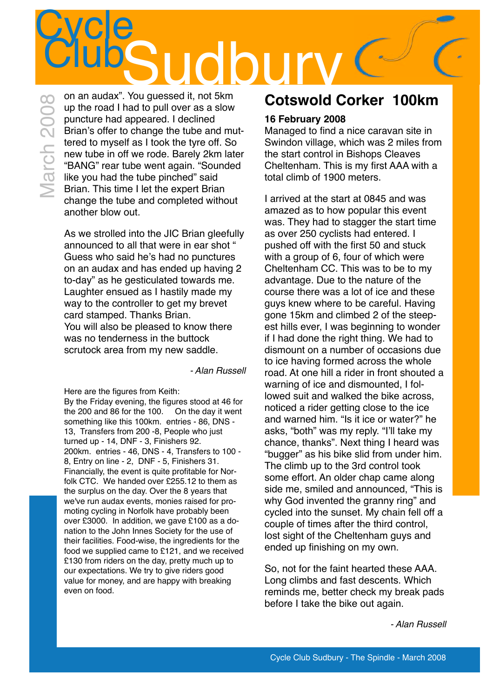### **Cycle** ClubSudbury on an audax". You guessed it, not 5km March 2008

up the road I had to pull over as a slow puncture had appeared. I declined Brian's offer to change the tube and muttered to myself as I took the tyre off. So new tube in off we rode. Barely 2km later "BANG" rear tube went again. "Sounded like you had the tube pinched" said Brian. This time I let the expert Brian change the tube and completed without another blow out.

As we strolled into the JIC Brian gleefully announced to all that were in ear shot " Guess who said he's had no punctures on an audax and has ended up having 2 to-day" as he gesticulated towards me. Laughter ensued as I hastily made my way to the controller to get my brevet card stamped. Thanks Brian. You will also be pleased to know there was no tenderness in the buttock scrutock area from my new saddle.

*- Alan Russell*

Here are the figures from Keith:

By the Friday evening, the figures stood at 46 for the 200 and 86 for the 100. On the day it went something like this 100km. entries - 86, DNS - 13, Transfers from 200 -8, People who just turned up - 14, DNF - 3, Finishers 92. 200km. entries - 46, DNS - 4, Transfers to 100 - 8, Entry on line - 2, DNF - 5, Finishers 31. Financially, the event is quite profitable for Norfolk CTC. We handed over £255.12 to them as the surplus on the day. Over the 8 years that we've run audax events, monies raised for promoting cycling in Norfolk have probably been over £3000. In addition, we gave £100 as a donation to the John Innes Society for the use of their facilities. Food-wise, the ingredients for the food we supplied came to £121, and we received £130 from riders on the day, pretty much up to our expectations. We try to give riders good value for money, and are happy with breaking even on food.

### **Cotswold Corker 100km**

#### **16 February 2008**

Managed to find a nice caravan site in Swindon village, which was 2 miles from the start control in Bishops Cleaves Cheltenham. This is my first AAA with a total climb of 1900 meters.

I arrived at the start at 0845 and was amazed as to how popular this event was. They had to stagger the start time as over 250 cyclists had entered. I pushed off with the first 50 and stuck with a group of 6, four of which were Cheltenham CC. This was to be to my advantage. Due to the nature of the course there was a lot of ice and these guys knew where to be careful. Having gone 15km and climbed 2 of the steepest hills ever, I was beginning to wonder if I had done the right thing. We had to dismount on a number of occasions due to ice having formed across the whole road. At one hill a rider in front shouted a warning of ice and dismounted, I followed suit and walked the bike across, noticed a rider getting close to the ice and warned him. "Is it ice or water?" he asks, "both" was my reply. "I'll take my chance, thanks". Next thing I heard was "bugger" as his bike slid from under him. The climb up to the 3rd control took some effort. An older chap came along side me, smiled and announced, "This is why God invented the granny ring" and cycled into the sunset. My chain fell off a couple of times after the third control, lost sight of the Cheltenham guys and ended up finishing on my own.

So, not for the faint hearted these AAA. Long climbs and fast descents. Which reminds me, better check my break pads before I take the bike out again.

*- Alan Russell*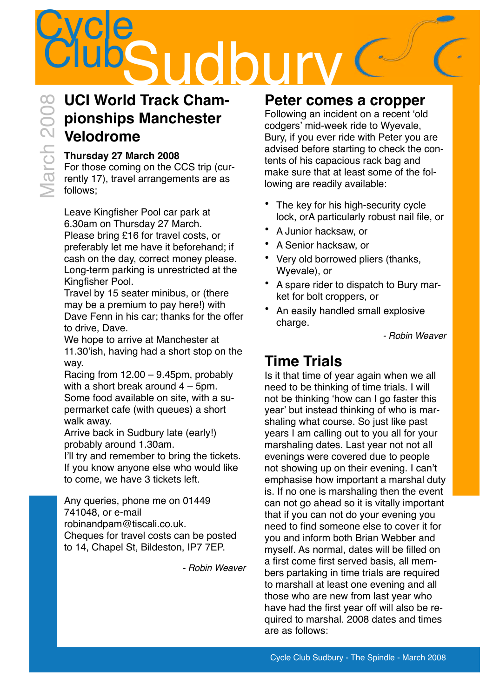## **Cycle SUDSUICD**<br>UCI World Track Cham-

### **UCI World Track Championships Manchester Velodrome**

### **Thursday 27 March 2008**

For those coming on the CCS trip (currently 17), travel arrangements are as follows;

Leave Kingfisher Pool car park at 6.30am on Thursday 27 March. Please bring £16 for travel costs, or preferably let me have it beforehand; if cash on the day, correct money please. Long-term parking is unrestricted at the Kingfisher Pool.

Travel by 15 seater minibus, or (there may be a premium to pay here!) with Dave Fenn in his car; thanks for the offer to drive, Dave.

We hope to arrive at Manchester at 11.30'ish, having had a short stop on the way.

Racing from 12.00 – 9.45pm, probably with a short break around 4 – 5pm. Some food available on site, with a supermarket cafe (with queues) a short walk away.

Arrive back in Sudbury late (early!) probably around 1.30am.

I'll try and remember to bring the tickets. If you know anyone else who would like to come, we have 3 tickets left.

Any queries, phone me on 01449 741048, or e-mail [robinandpam@tiscali.co.uk.](mailto:robinandpam@tiscali.co.uk) Cheques for travel costs can be posted to 14, Chapel St, Bildeston, IP7 7EP.

*- Robin Weaver*

### **Peter comes a cropper**

Following an incident on a recent ʻold codgers' mid-week ride to Wyevale, Bury, if you ever ride with Peter you are advised before starting to check the contents of his capacious rack bag and make sure that at least some of the following are readily available:

- The key for his high-security cycle lock, orA particularly robust nail file, or
- A Junior hacksaw, or
- A Senior hacksaw, or
- Very old borrowed pliers (thanks, Wyevale), or
- A spare rider to dispatch to Bury market for bolt croppers, or
- An easily handled small explosive charge.

*- Robin Weaver*

### **Time Trials**

Is it that time of year again when we all need to be thinking of time trials. I will not be thinking ʻhow can I go faster this year' but instead thinking of who is marshaling what course. So just like past years I am calling out to you all for your marshaling dates. Last year not not all evenings were covered due to people not showing up on their evening. I can't emphasise how important a marshal duty is. If no one is marshaling then the event can not go ahead so it is vitally important that if you can not do your evening you need to find someone else to cover it for you and inform both Brian Webber and myself. As normal, dates will be filled on a first come first served basis, all members partaking in time trials are required to marshall at least one evening and all those who are new from last year who have had the first year off will also be required to marshal. 2008 dates and times are as follows: